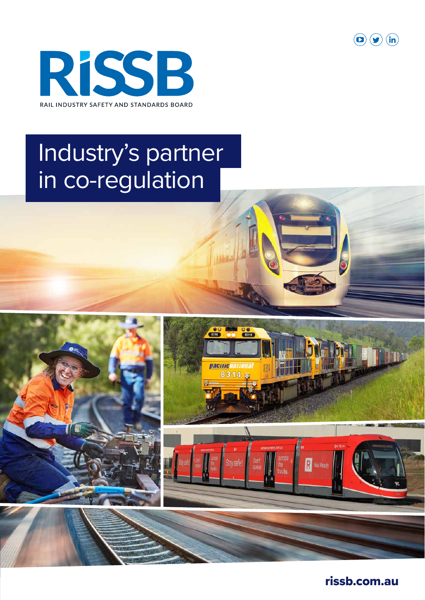



## Industry's partner in co-regulation





rissb.com.au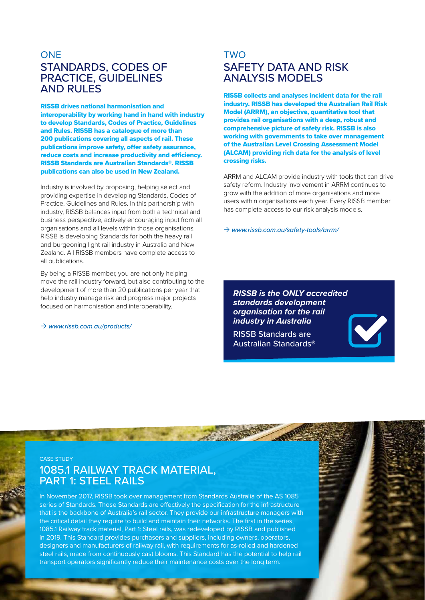## **ONE** STANDARDS, CODES OF PRACTICE, GUIDELINES AND RULES

RISSB drives national harmonisation and interoperability by working hand in hand with industry to develop Standards, Codes of Practice, Guidelines and Rules. RISSB has a catalogue of more than 200 publications covering all aspects of rail. These publications improve safety, offer safety assurance, reduce costs and increase productivity and efficiency. RISSB Standards are Australian Standards®. RISSB publications can also be used in New Zealand.

Industry is involved by proposing, helping select and providing expertise in developing Standards, Codes of Practice, Guidelines and Rules. In this partnership with industry, RISSB balances input from both a technical and business perspective, actively encouraging input from all organisations and all levels within those organisations. RISSB is developing Standards for both the heavy rail and burgeoning light rail industry in Australia and New Zealand. All RISSB members have complete access to all publications.

By being a RISSB member, you are not only helping move the rail industry forward, but also contributing to the development of more than 20 publications per year that help industry manage risk and progress major projects focused on harmonisation and interoperability.

 $\rightarrow$  www.rissb.com.au/products/

## **TWO** SAFETY DATA AND RISK ANALYSIS MODELS

RISSB collects and analyses incident data for the rail industry. RISSB has developed the Australian Rail Risk Model (ARRM), an objective, quantitative tool that provides rail organisations with a deep, robust and comprehensive picture of safety risk. RISSB is also working with governments to take over management of the Australian Level Crossing Assessment Model (ALCAM) providing rich data for the analysis of level crossing risks.

ARRM and ALCAM provide industry with tools that can drive safety reform. Industry involvement in ARRM continues to grow with the addition of more organisations and more users within organisations each year. Every RISSB member has complete access to our risk analysis models.

 $\rightarrow$  www.rissb.com.au/safety-tools/arrm/

*RISSB is the ONLY accredited standards development organisation for the rail industry in Australia*

RISSB Standards are Australian Standards®

CASE STUDY

## 1085.1 RAILWAY TRACK MATERIAL, PART 1: STEEL RAILS

In November 2017, RISSB took over management from Standards Australia of the AS 1085 series of Standards. Those Standards are effectively the specification for the infrastructure that is the backbone of Australia's rail sector. They provide our infrastructure managers with the critical detail they require to build and maintain their networks. The first in the series, 1085.1 Railway track material, Part 1: Steel rails, was redeveloped by RISSB and published in 2019. This Standard provides purchasers and suppliers, including owners, operators, designers and manufacturers of railway rail, with requirements for as-rolled and hardened steel rails, made from continuously cast blooms. This Standard has the potential to help rail transport operators significantly reduce their maintenance costs over the long term.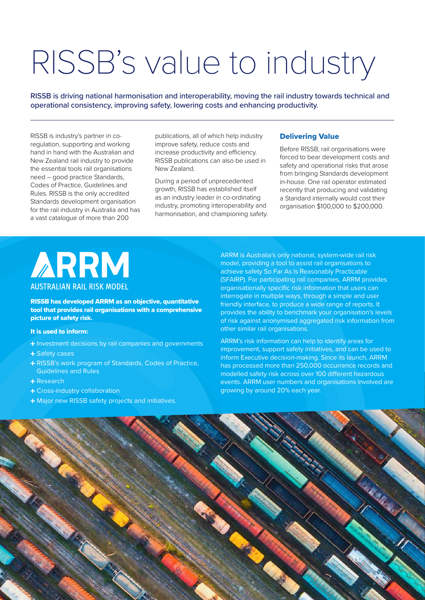# RISSB's value to industry

RISSB is driving national harmonisation and interoperability, moving the rail industry towards technical and operational consistency, improving safety, lowering costs and enhancing productivity.

RISSB is industry's partner in coregulation, supporting and working hand in hand with the Australian and New Zealand rail industry to provide the essential tools rail organisations need – good practice Standards, Codes of Practice, Guidelines and Rules. RISSB is the only accredited Standards development organisation for the rail industry in Australia and has a vast catalogue of more than 200

publications, all of which help industry improve safety, reduce costs and increase productivity and efficiency. RISSB publications can also be used in New Zealand.

During a period of unprecedented growth, RISSB has established itself as an industry leader in co-ordinating industry, promoting interoperability and harmonisation, and championing safety.

#### Delivering Value

Before RISSB, rail organisations were forced to bear development costs and safety and operational risks that arose from bringing Standards development in-house. One rail operator estimated recently that producing and validating a Standard internally would cost their organisation \$100,000 to \$200,000.



RISSB has developed ARRM as an objective, quantitative tool that provides rail organisations with a comprehensive picture of safety risk.

#### It is used to inform:

- + Investment decisions by rail companies and governments
- + Safety cases
- RISSB's work program of Standards, Codes of Practice, Guidelines and Rules
- Research
- Cross-industry collaboration
- + Major new RISSB safety projects and initiatives.

ARRM is Australia's only national, system-wide rail risk model, providing a tool to assist rail organisations to achieve safety So Far As Is Reasonably Practicable (SFAIRP). For participating rail companies, ARRM provides organisationally specific risk information that users can interrogate in multiple ways, through a simple and user friendly interface, to produce a wide range of reports. It provides the ability to benchmark your organisation's levels of risk against anonymised aggregated risk information from other similar rail organisations.

ARRM's risk information can help to identify areas for improvement, support safety initiatives, and can be used to inform Executive decision-making. Since its launch, ARRM has processed more than 250,000 occurrence records and modelled safety risk across over 100 different hazardous events. ARRM user numbers and organisations involved are growing by around 20% each year.

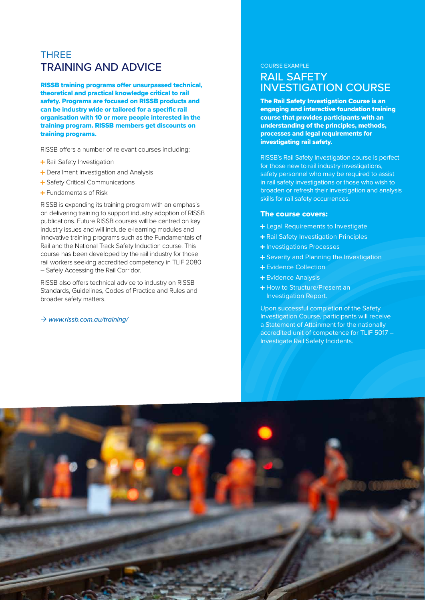## THREE TRAINING AND ADVICE

RISSB training programs offer unsurpassed technical, theoretical and practical knowledge critical to rail safety. Programs are focused on RISSB products and can be industry wide or tailored for a specific rail organisation with 10 or more people interested in the training program. RISSB members get discounts on training programs.

RISSB offers a number of relevant courses including:

- + Rail Safety Investigation
- + Derailment Investigation and Analysis
- + Safety Critical Communications
- Fundamentals of Risk

RISSB is expanding its training program with an emphasis on delivering training to support industry adoption of RISSB publications. Future RISSB courses will be centred on key industry issues and will include e-learning modules and innovative training programs such as the Fundamentals of Rail and the National Track Safety Induction course. This course has been developed by the rail industry for those rail workers seeking accredited competency in TLIF 2080 – Safely Accessing the Rail Corridor.

RISSB also offers technical advice to industry on RISSB Standards, Guidelines, Codes of Practice and Rules and broader safety matters.

#### $\rightarrow$  www.rissb.com.au/training/

#### COURSE EXAMPLE

## RAIL SAFETY INVESTIGATION COURSE

The Rail Safety Investigation Course is an engaging and interactive foundation training course that provides participants with an understanding of the principles, methods, processes and legal requirements for investigating rail safety.

RISSB's Rail Safety Investigation course is perfect for those new to rail industry investigations, safety personnel who may be required to assist in rail safety investigations or those who wish to broaden or refresh their investigation and analysis skills for rail safety occurrences.

#### The course covers:

- Legal Requirements to Investigate
- + Rail Safety Investigation Principles
- + Investigations Processes
- + Severity and Planning the Investigation
- + Evidence Collection
- + Evidence Analysis
- + How to Structure/Present an Investigation Report.

Upon successful completion of the Safety Investigation Course, participants will receive a Statement of Attainment for the nationally accredited unit of competence for TLIF 5017 – Investigate Rail Safety Incidents.

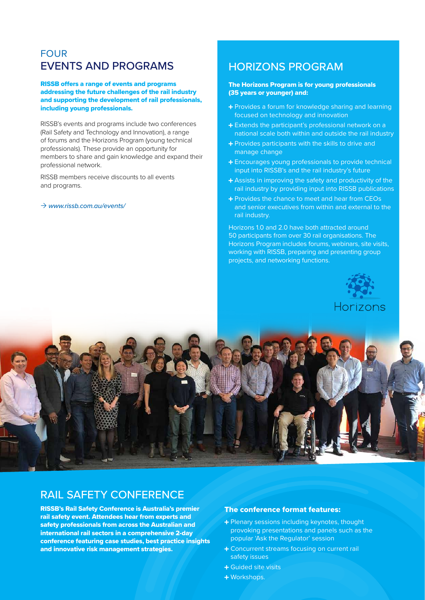## FOUR EVENTS AND PROGRAMS

RISSB offers a range of events and programs addressing the future challenges of the rail industry and supporting the development of rail professionals, including young professionals.

RISSB's events and programs include two conferences (Rail Safety and Technology and Innovation), a range of forums and the Horizons Program (young technical professionals). These provide an opportunity for members to share and gain knowledge and expand their professional network.

RISSB members receive discounts to all events and programs.

#### $\rightarrow$  www.rissb.com.au/events/

### HORIZONS PROGRAM

#### The Horizons Program is for young professionals (35 years or younger) and:

- Provides a forum for knowledge sharing and learning focused on technology and innovation
- Extends the participant's professional network on a national scale both within and outside the rail industry
- + Provides participants with the skills to drive and manage change
- **+** Encourages young professionals to provide technical input into RISSB's and the rail industry's future
- Assists in improving the safety and productivity of the rail industry by providing input into RISSB publications
- + Provides the chance to meet and hear from CEOs and senior executives from within and external to the rail industry.

Horizons 1.0 and 2.0 have both attracted around 50 participants from over 30 rail organisations. The Horizons Program includes forums, webinars, site visits, working with RISSB, preparing and presenting group projects, and networking functions.





## RAIL SAFETY CONFERENCE

RISSB's Rail Safety Conference is Australia's premier rail safety event. Attendees hear from experts and safety professionals from across the Australian and international rail sectors in a comprehensive 2-day conference featuring case studies, best practice insights and innovative risk management strategies.

#### The conference format features:

- + Plenary sessions including keynotes, thought provoking presentations and panels such as the popular 'Ask the Regulator' session
- + Concurrent streams focusing on current rail safety issues
- + Guided site visits
- Workshops.